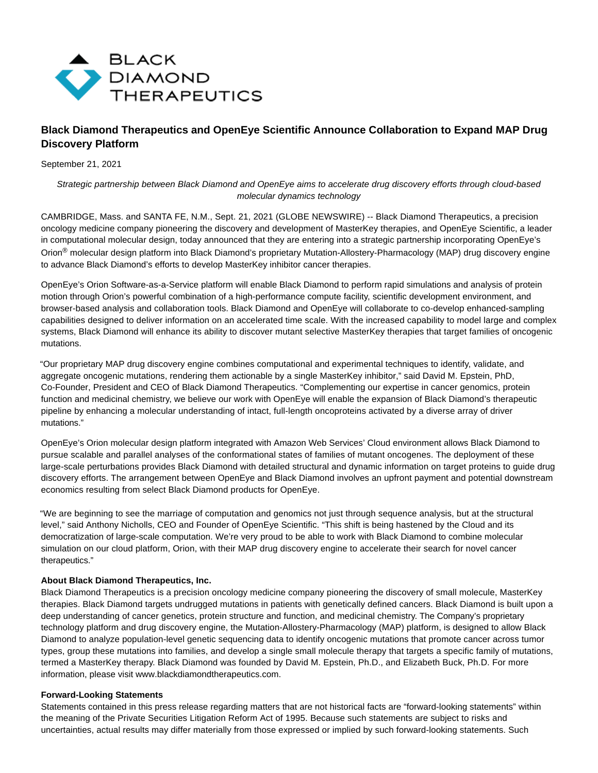

# **Black Diamond Therapeutics and OpenEye Scientific Announce Collaboration to Expand MAP Drug Discovery Platform**

September 21, 2021

## Strategic partnership between Black Diamond and OpenEye aims to accelerate drug discovery efforts through cloud-based molecular dynamics technology

CAMBRIDGE, Mass. and SANTA FE, N.M., Sept. 21, 2021 (GLOBE NEWSWIRE) -- Black Diamond Therapeutics, a precision oncology medicine company pioneering the discovery and development of MasterKey therapies, and OpenEye Scientific, a leader in computational molecular design, today announced that they are entering into a strategic partnership incorporating OpenEye's Orion<sup>®</sup> molecular design platform into Black Diamond's proprietary Mutation-Allostery-Pharmacology (MAP) drug discovery engine to advance Black Diamond's efforts to develop MasterKey inhibitor cancer therapies.

OpenEye's Orion Software-as-a-Service platform will enable Black Diamond to perform rapid simulations and analysis of protein motion through Orion's powerful combination of a high-performance compute facility, scientific development environment, and browser-based analysis and collaboration tools. Black Diamond and OpenEye will collaborate to co-develop enhanced-sampling capabilities designed to deliver information on an accelerated time scale. With the increased capability to model large and complex systems, Black Diamond will enhance its ability to discover mutant selective MasterKey therapies that target families of oncogenic mutations.

"Our proprietary MAP drug discovery engine combines computational and experimental techniques to identify, validate, and aggregate oncogenic mutations, rendering them actionable by a single MasterKey inhibitor," said David M. Epstein, PhD, Co-Founder, President and CEO of Black Diamond Therapeutics. "Complementing our expertise in cancer genomics, protein function and medicinal chemistry, we believe our work with OpenEye will enable the expansion of Black Diamond's therapeutic pipeline by enhancing a molecular understanding of intact, full-length oncoproteins activated by a diverse array of driver mutations."

OpenEye's Orion molecular design platform integrated with Amazon Web Services' Cloud environment allows Black Diamond to pursue scalable and parallel analyses of the conformational states of families of mutant oncogenes. The deployment of these large-scale perturbations provides Black Diamond with detailed structural and dynamic information on target proteins to guide drug discovery efforts. The arrangement between OpenEye and Black Diamond involves an upfront payment and potential downstream economics resulting from select Black Diamond products for OpenEye.

"We are beginning to see the marriage of computation and genomics not just through sequence analysis, but at the structural level," said Anthony Nicholls, CEO and Founder of OpenEye Scientific. "This shift is being hastened by the Cloud and its democratization of large-scale computation. We're very proud to be able to work with Black Diamond to combine molecular simulation on our cloud platform, Orion, with their MAP drug discovery engine to accelerate their search for novel cancer therapeutics."

#### **About Black Diamond Therapeutics, Inc.**

Black Diamond Therapeutics is a precision oncology medicine company pioneering the discovery of small molecule, MasterKey therapies. Black Diamond targets undrugged mutations in patients with genetically defined cancers. Black Diamond is built upon a deep understanding of cancer genetics, protein structure and function, and medicinal chemistry. The Company's proprietary technology platform and drug discovery engine, the Mutation-Allostery-Pharmacology (MAP) platform, is designed to allow Black Diamond to analyze population-level genetic sequencing data to identify oncogenic mutations that promote cancer across tumor types, group these mutations into families, and develop a single small molecule therapy that targets a specific family of mutations, termed a MasterKey therapy. Black Diamond was founded by David M. Epstein, Ph.D., and Elizabeth Buck, Ph.D. For more information, please visit www.blackdiamondtherapeutics.com.

## **Forward-Looking Statements**

Statements contained in this press release regarding matters that are not historical facts are "forward-looking statements" within the meaning of the Private Securities Litigation Reform Act of 1995. Because such statements are subject to risks and uncertainties, actual results may differ materially from those expressed or implied by such forward-looking statements. Such